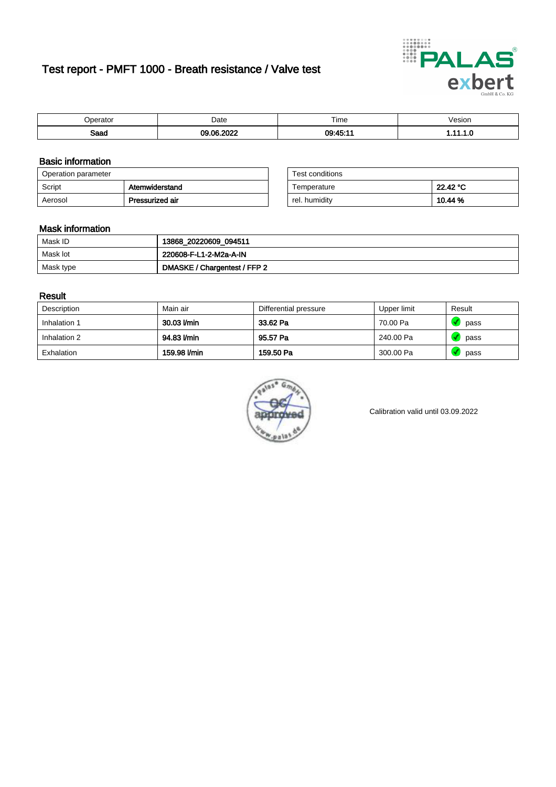# Test report - PMFT 1000 - Breath resistance / Valve test



| maxmax<br>rator | Date            | $- \cdot$<br>⊺ime | /esion |
|-----------------|-----------------|-------------------|--------|
| Saad            | 0.000<br>$\sim$ | 00:45:11          | .      |

### Basic information

| Operation parameter |                 | Test conditions |          |
|---------------------|-----------------|-----------------|----------|
| Script              | Atemwiderstand  | Temperature     | 22.42 °C |
| Aerosol             | Pressurized air | rel. humidity   | 10.44 %  |

| Test conditions |          |
|-----------------|----------|
| Temperature     | 22.42 °C |
| rel. humidity   | 10.44 %  |

#### Mask information

| Mask ID   | 13868_20220609_094511        |
|-----------|------------------------------|
| Mask lot  | 220608-F-L1-2-M2a-A-IN       |
| Mask type | DMASKE / Chargentest / FFP 2 |

### Result

| Description  | Main air     | Differential pressure | Upper limit | Result |
|--------------|--------------|-----------------------|-------------|--------|
| Inhalation 1 | 30.03 l/min  | 33.62 Pa              | 70.00 Pa    | pass   |
| Inhalation 2 | 94.83 l/min  | 95.57 Pa              | 240.00 Pa   | pass   |
| Exhalation   | 159.98 l/min | 159.50 Pa             | 300.00 Pa   | pass   |



Calibration valid until 03.09.2022